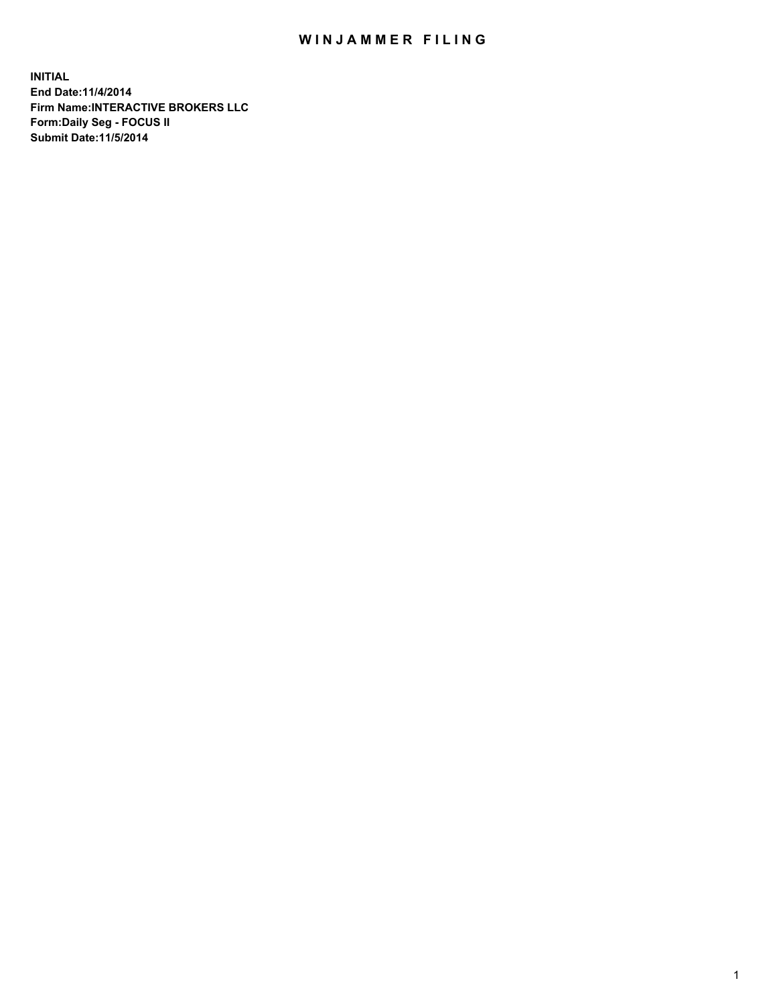## WIN JAMMER FILING

**INITIAL End Date:11/4/2014 Firm Name:INTERACTIVE BROKERS LLC Form:Daily Seg - FOCUS II Submit Date:11/5/2014**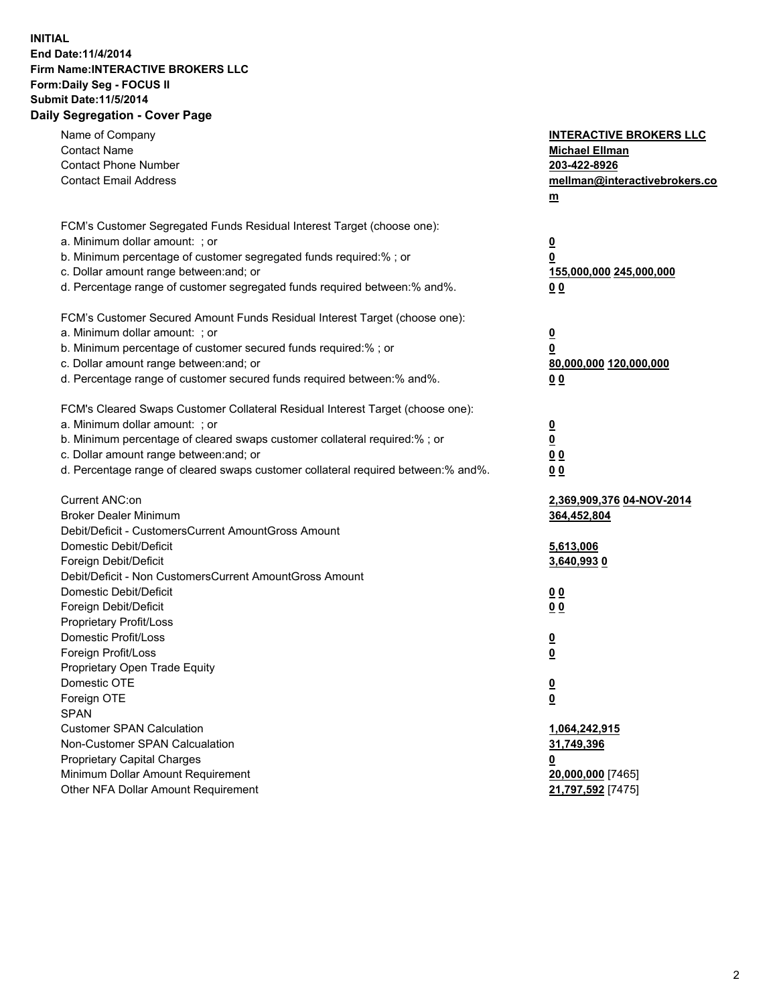## **INITIAL End Date:11/4/2014 Firm Name:INTERACTIVE BROKERS LLC Form:Daily Seg - FOCUS II Submit Date:11/5/2014 Daily Segregation - Cover Page**

| Name of Company<br><b>Contact Name</b><br><b>Contact Phone Number</b><br><b>Contact Email Address</b>                                                                                                                                                                                                                          | <b>INTERACTIVE BROKERS LLC</b><br><b>Michael Ellman</b><br>203-422-8926<br>mellman@interactivebrokers.co<br>m |
|--------------------------------------------------------------------------------------------------------------------------------------------------------------------------------------------------------------------------------------------------------------------------------------------------------------------------------|---------------------------------------------------------------------------------------------------------------|
| FCM's Customer Segregated Funds Residual Interest Target (choose one):<br>a. Minimum dollar amount: ; or<br>b. Minimum percentage of customer segregated funds required:% ; or<br>c. Dollar amount range between: and; or<br>d. Percentage range of customer segregated funds required between:% and%.                         | <u>0</u><br>0<br>155,000,000 245,000,000<br>00                                                                |
| FCM's Customer Secured Amount Funds Residual Interest Target (choose one):<br>a. Minimum dollar amount: ; or<br>b. Minimum percentage of customer secured funds required:% ; or<br>c. Dollar amount range between: and; or<br>d. Percentage range of customer secured funds required between:% and%.                           | $\overline{\mathbf{0}}$<br>0<br>80,000,000 120,000,000<br>0 <sub>0</sub>                                      |
| FCM's Cleared Swaps Customer Collateral Residual Interest Target (choose one):<br>a. Minimum dollar amount: ; or<br>b. Minimum percentage of cleared swaps customer collateral required:% ; or<br>c. Dollar amount range between: and; or<br>d. Percentage range of cleared swaps customer collateral required between:% and%. | $\overline{\mathbf{0}}$<br><u>0</u><br>0 <sub>0</sub><br>0 <sub>0</sub>                                       |
| Current ANC:on<br><b>Broker Dealer Minimum</b><br>Debit/Deficit - CustomersCurrent AmountGross Amount<br>Domestic Debit/Deficit<br>Foreign Debit/Deficit                                                                                                                                                                       | 2,369,909,376 04-NOV-2014<br>364,452,804<br>5,613,006<br>3,640,9930                                           |
| Debit/Deficit - Non CustomersCurrent AmountGross Amount<br>Domestic Debit/Deficit<br>Foreign Debit/Deficit<br>Proprietary Profit/Loss<br>Domestic Profit/Loss<br>Foreign Profit/Loss                                                                                                                                           | 0 <sub>0</sub><br>0 <sub>0</sub><br>$\overline{\mathbf{0}}$<br>$\overline{\mathbf{0}}$                        |
| Proprietary Open Trade Equity<br>Domestic OTE<br>Foreign OTE<br><b>SPAN</b><br><b>Customer SPAN Calculation</b><br>Non-Customer SPAN Calcualation                                                                                                                                                                              | $\overline{\mathbf{0}}$<br><u>0</u><br>1,064,242,915<br>31,749,396                                            |
| <b>Proprietary Capital Charges</b><br>Minimum Dollar Amount Requirement<br>Other NFA Dollar Amount Requirement                                                                                                                                                                                                                 | <u>0</u><br>20,000,000 [7465]<br>21,797,592 [7475]                                                            |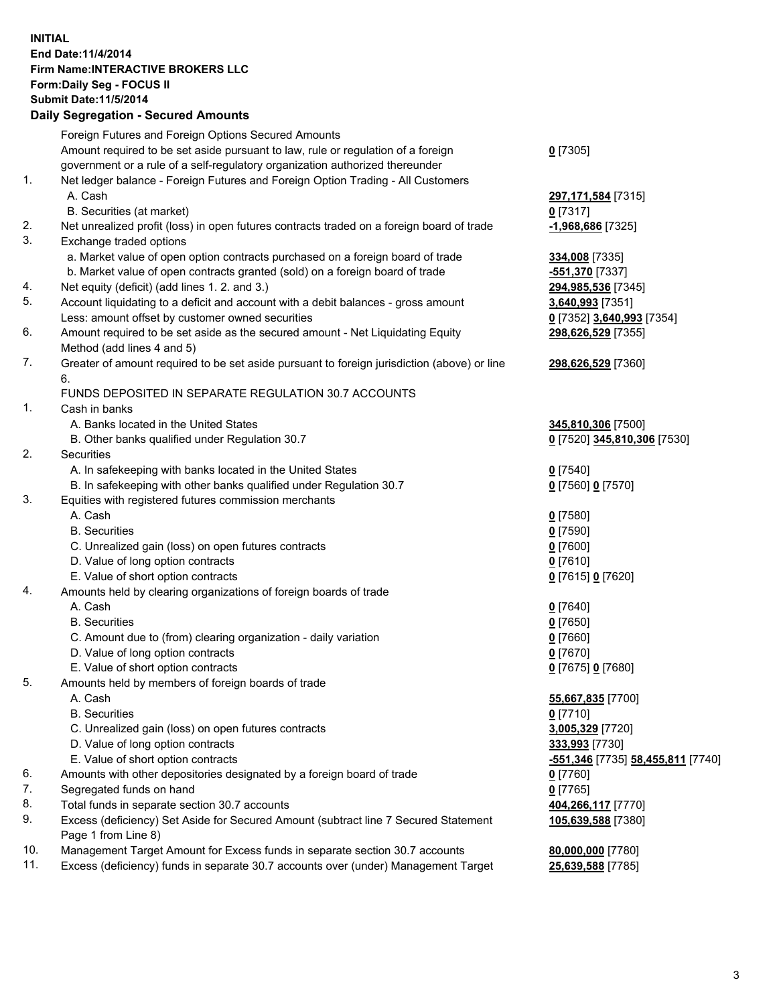## **INITIAL End Date:11/4/2014 Firm Name:INTERACTIVE BROKERS LLC Form:Daily Seg - FOCUS II Submit Date:11/5/2014 Daily Segregation - Secured Amounts**

|     | Daily Ocglegation - Occarea Anioants                                                        |                                                |
|-----|---------------------------------------------------------------------------------------------|------------------------------------------------|
|     | Foreign Futures and Foreign Options Secured Amounts                                         |                                                |
|     | Amount required to be set aside pursuant to law, rule or regulation of a foreign            | $0$ [7305]                                     |
|     | government or a rule of a self-regulatory organization authorized thereunder                |                                                |
| 1.  | Net ledger balance - Foreign Futures and Foreign Option Trading - All Customers             |                                                |
|     | A. Cash                                                                                     | 297, 171, 584 [7315]                           |
|     | B. Securities (at market)                                                                   | $0$ [7317]                                     |
| 2.  | Net unrealized profit (loss) in open futures contracts traded on a foreign board of trade   | -1,968,686 [7325]                              |
| 3.  | Exchange traded options                                                                     |                                                |
|     | a. Market value of open option contracts purchased on a foreign board of trade              | 334,008 [7335]                                 |
|     | b. Market value of open contracts granted (sold) on a foreign board of trade                | -551,370 [7337]                                |
| 4.  | Net equity (deficit) (add lines 1.2. and 3.)                                                | 294,985,536 [7345]                             |
| 5.  | Account liquidating to a deficit and account with a debit balances - gross amount           | 3,640,993 [7351]                               |
|     | Less: amount offset by customer owned securities                                            | 0 [7352] 3,640,993 [7354]                      |
| 6.  | Amount required to be set aside as the secured amount - Net Liquidating Equity              | 298,626,529 [7355]                             |
|     | Method (add lines 4 and 5)                                                                  |                                                |
| 7.  | Greater of amount required to be set aside pursuant to foreign jurisdiction (above) or line | 298,626,529 [7360]                             |
|     | 6.                                                                                          |                                                |
|     | FUNDS DEPOSITED IN SEPARATE REGULATION 30.7 ACCOUNTS                                        |                                                |
| 1.  | Cash in banks                                                                               |                                                |
|     | A. Banks located in the United States                                                       | 345,810,306 [7500]                             |
|     | B. Other banks qualified under Regulation 30.7                                              | 0 [7520] 345,810,306 [7530]                    |
| 2.  | Securities                                                                                  |                                                |
|     | A. In safekeeping with banks located in the United States                                   | $0$ [7540]                                     |
|     | B. In safekeeping with other banks qualified under Regulation 30.7                          | 0 [7560] 0 [7570]                              |
| 3.  | Equities with registered futures commission merchants                                       |                                                |
|     | A. Cash                                                                                     | $0$ [7580]                                     |
|     | <b>B.</b> Securities                                                                        | $0$ [7590]                                     |
|     | C. Unrealized gain (loss) on open futures contracts                                         | $0$ [7600]                                     |
|     | D. Value of long option contracts                                                           | $0$ [7610]                                     |
|     | E. Value of short option contracts                                                          | 0 [7615] 0 [7620]                              |
| 4.  | Amounts held by clearing organizations of foreign boards of trade                           |                                                |
|     | A. Cash                                                                                     | $0$ [7640]                                     |
|     | <b>B.</b> Securities                                                                        | $0$ [7650]                                     |
|     | C. Amount due to (from) clearing organization - daily variation                             | $0$ [7660]                                     |
|     | D. Value of long option contracts                                                           | $0$ [7670]                                     |
|     | E. Value of short option contracts                                                          | 0 [7675] 0 [7680]                              |
| 5.  | Amounts held by members of foreign boards of trade                                          |                                                |
|     | A. Cash                                                                                     | 55,667,835 [7700]                              |
|     | <b>B.</b> Securities                                                                        | $0$ [7710]                                     |
|     | C. Unrealized gain (loss) on open futures contracts                                         | 3,005,329 [7720]                               |
|     | D. Value of long option contracts                                                           | 333,993 [7730]                                 |
|     | E. Value of short option contracts                                                          | <mark>-551,346</mark> [7735] 58,455,811 [7740] |
| 6.  | Amounts with other depositories designated by a foreign board of trade                      | 0 [7760]                                       |
| 7.  | Segregated funds on hand                                                                    | $0$ [7765]                                     |
| 8.  | Total funds in separate section 30.7 accounts                                               | 404,266,117 [7770]                             |
| 9.  | Excess (deficiency) Set Aside for Secured Amount (subtract line 7 Secured Statement         | 105,639,588 [7380]                             |
|     | Page 1 from Line 8)                                                                         |                                                |
| 10. | Management Target Amount for Excess funds in separate section 30.7 accounts                 | 80,000,000 [7780]                              |
| 11. | Excess (deficiency) funds in separate 30.7 accounts over (under) Management Target          | 25,639,588 [7785]                              |
|     |                                                                                             |                                                |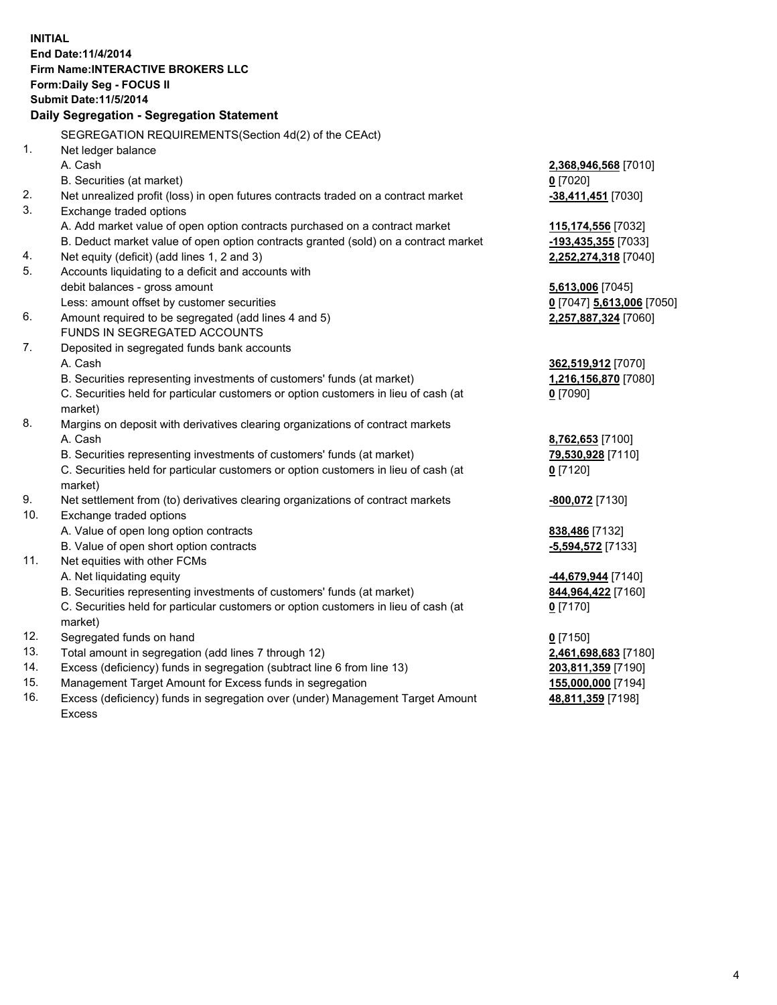**INITIAL End Date:11/4/2014 Firm Name:INTERACTIVE BROKERS LLC Form:Daily Seg - FOCUS II Submit Date:11/5/2014 Daily Segregation - Segregation Statement** SEGREGATION REQUIREMENTS(Section 4d(2) of the CEAct) 1. Net ledger balance A. Cash **2,368,946,568** [7010] B. Securities (at market) **0** [7020] 2. Net unrealized profit (loss) in open futures contracts traded on a contract market **-38,411,451** [7030] 3. Exchange traded options A. Add market value of open option contracts purchased on a contract market **115,174,556** [7032] B. Deduct market value of open option contracts granted (sold) on a contract market **-193,435,355** [7033] 4. Net equity (deficit) (add lines 1, 2 and 3) **2,252,274,318** [7040] 5. Accounts liquidating to a deficit and accounts with debit balances - gross amount **5,613,006** [7045] Less: amount offset by customer securities **0** [7047] **5,613,006** [7050] 6. Amount required to be segregated (add lines 4 and 5) **2,257,887,324** [7060] FUNDS IN SEGREGATED ACCOUNTS 7. Deposited in segregated funds bank accounts A. Cash **362,519,912** [7070] B. Securities representing investments of customers' funds (at market) **1,216,156,870** [7080] C. Securities held for particular customers or option customers in lieu of cash (at market) **0** [7090] 8. Margins on deposit with derivatives clearing organizations of contract markets A. Cash **8,762,653** [7100] B. Securities representing investments of customers' funds (at market) **79,530,928** [7110] C. Securities held for particular customers or option customers in lieu of cash (at market) **0** [7120] 9. Net settlement from (to) derivatives clearing organizations of contract markets **-800,072** [7130] 10. Exchange traded options A. Value of open long option contracts **838,486** [7132] B. Value of open short option contracts **-5,594,572** [7133] 11. Net equities with other FCMs A. Net liquidating equity **-44,679,944** [7140] B. Securities representing investments of customers' funds (at market) **844,964,422** [7160] C. Securities held for particular customers or option customers in lieu of cash (at market) **0** [7170] 12. Segregated funds on hand **0** [7150] 13. Total amount in segregation (add lines 7 through 12) **2,461,698,683** [7180] 14. Excess (deficiency) funds in segregation (subtract line 6 from line 13) **203,811,359** [7190] 15. Management Target Amount for Excess funds in segregation **155,000,000** [7194]

16. Excess (deficiency) funds in segregation over (under) Management Target Amount Excess

**48,811,359** [7198]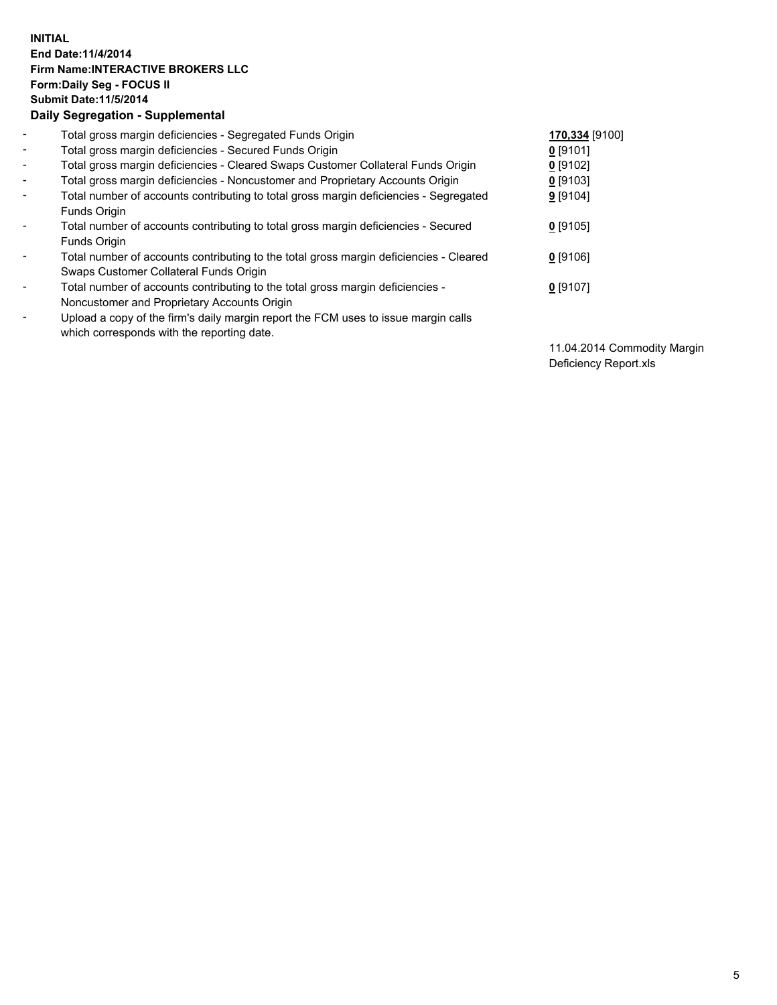## **INITIAL End Date:11/4/2014 Firm Name:INTERACTIVE BROKERS LLC Form:Daily Seg - FOCUS II Submit Date:11/5/2014 Daily Segregation - Supplemental**

| $\blacksquare$           | Total gross margin deficiencies - Segregated Funds Origin                              | 170,334 [9100] |
|--------------------------|----------------------------------------------------------------------------------------|----------------|
| $\overline{\phantom{a}}$ | Total gross margin deficiencies - Secured Funds Origin                                 | $0$ [9101]     |
| $\blacksquare$           | Total gross margin deficiencies - Cleared Swaps Customer Collateral Funds Origin       | $0$ [9102]     |
| $\blacksquare$           | Total gross margin deficiencies - Noncustomer and Proprietary Accounts Origin          | $0$ [9103]     |
| $\blacksquare$           | Total number of accounts contributing to total gross margin deficiencies - Segregated  | $9$ [9104]     |
|                          | <b>Funds Origin</b>                                                                    |                |
| $\blacksquare$           | Total number of accounts contributing to total gross margin deficiencies - Secured     | $0$ [9105]     |
|                          | Funds Origin                                                                           |                |
| -                        | Total number of accounts contributing to the total gross margin deficiencies - Cleared | $0$ [9106]     |
|                          | Swaps Customer Collateral Funds Origin                                                 |                |
| $\overline{\phantom{a}}$ | Total number of accounts contributing to the total gross margin deficiencies -         | $0$ [9107]     |
|                          | Noncustomer and Proprietary Accounts Origin                                            |                |
| $\overline{\phantom{0}}$ | Upload a copy of the firm's daily margin report the FCM uses to issue margin calls     |                |
|                          | which corresponds with the reporting date.                                             |                |

11.04.2014 Commodity Margin Deficiency Report.xls